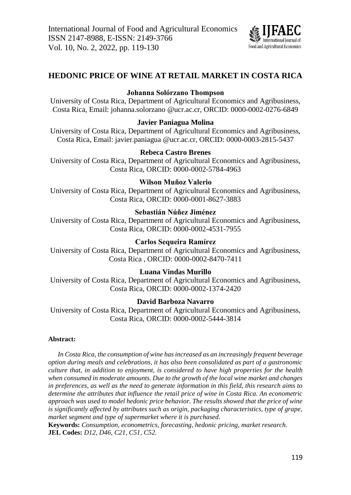

# **HEDONIC PRICE OF WINE AT RETAIL MARKET IN COSTA RICA**

# **Johanna Solórzano Thompson**

University of Costa Rica, Department of Agricultural Economics and Agribusiness, Costa Rica, Email: johanna.solorzano.@ucr.ac.cr, ORCID: 0000-0002-0276-6849

### **Javier Paniagua Molina**

University of Costa Rica, Department of Agricultural Economics and Agribusiness, Costa Rica, Email: javier.paniagua.@ucr.ac.cr, ORCID: 0000-0003-2815-5437

# **Rebeca Castro Brenes**

University of Costa Rica, Department of Agricultural Economics and Agribusiness, Costa Rica, ORCID: 0000-0002-5784-4963

### **Wilson Muñoz Valerio**

University of Costa Rica, Department of Agricultural Economics and Agribusiness, Costa Rica, ORCID: 0000-0001-8627-3883

# **Sebastián Núñez Jiménez**

University of Costa Rica, Department of Agricultural Economics and Agribusiness, Costa Rica, ORCID: 0000-0002-4531-7955

# **Carlos Sequeira Ramírez**

University of Costa Rica, Department of Agricultural Economics and Agribusiness, Costa Rica , ORCID: 0000-0002-8470-7411

### **Luana Vindas Murillo**

University of Costa Rica, Department of Agricultural Economics and Agribusiness, Costa Rica, ORCID: 0000-0002-1374-2420

### **David Barboza Navarro**

University of Costa Rica, Department of Agricultural Economics and Agribusiness, Costa Rica, ORCID: 0000-0002-5444-3814

### **Abstract:**

*In Costa Rica, the consumption of wine has increased as an increasingly frequent beverage option during meals and celebrations, it has also been consolidated as part of a gastronomic culture that, in addition to enjoyment, is considered to have high properties for the health when consumed in moderate amounts. Due to the growth of the local wine market and changes in preferences, as well as the need to generate information in this field, this research aims to determine the attributes that influence the retail price of wine in Costa Rica. An econometric approach was used to model hedonic price behavior. The results showed that the price of wine is significantly affected by attributes such as origin, packaging characteristics, type of grape, market segment and type of supermarket where it is purchased.*

**Keywords:** *Consumption, econometrics, forecasting, hedonic pricing, market research.* **JEL Codes:** *D12, D46, C21, C51, C52.*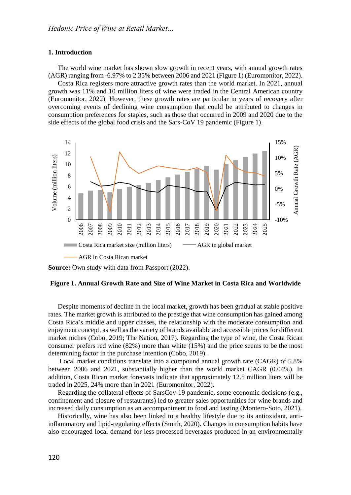#### **1. Introduction**

The world wine market has shown slow growth in recent years, with annual growth rates (AGR) ranging from -6.97% to 2.35% between 2006 and 2021 (Figure 1) (Euromonitor, 2022).

Costa Rica registers more attractive growth rates than the world market. In 2021, annual growth was 11% and 10 million liters of wine were traded in the Central American country (Euromonitor, 2022). However, these growth rates are particular in years of recovery after overcoming events of declining wine consumption that could be attributed to changes in consumption preferences for staples, such as those that occurred in 2009 and 2020 due to the side effects of the global food crisis and the Sars-CoV 19 pandemic (Figure 1).



**Source:** Own study with data from Passport (2022).

#### **Figure 1. Annual Growth Rate and Size of Wine Market in Costa Rica and Worldwide**

Despite moments of decline in the local market, growth has been gradual at stable positive rates. The market growth is attributed to the prestige that wine consumption has gained among Costa Rica's middle and upper classes, the relationship with the moderate consumption and enjoyment concept, as well as the variety of brands available and accessible prices for different market niches (Cobo, 2019; The Nation, 2017). Regarding the type of wine, the Costa Rican consumer prefers red wine (82%) more than white (15%) and the price seems to be the most determining factor in the purchase intention (Cobo, 2019).

Local market conditions translate into a compound annual growth rate (CAGR) of 5.8% between 2006 and 2021, substantially higher than the world market CAGR (0.04%). In addition, Costa Rican market forecasts indicate that approximately 12.5 million liters will be traded in 2025, 24% more than in 2021 (Euromonitor, 2022).

Regarding the collateral effects of SarsCov-19 pandemic, some economic decisions (e.g., confinement and closure of restaurants) led to greater sales opportunities for wine brands and increased daily consumption as an accompaniment to food and tasting (Montero-Soto, 2021).

Historically, wine has also been linked to a healthy lifestyle due to its antioxidant, antiinflammatory and lipid-regulating effects (Smith, 2020). Changes in consumption habits have also encouraged local demand for less processed beverages produced in an environmentally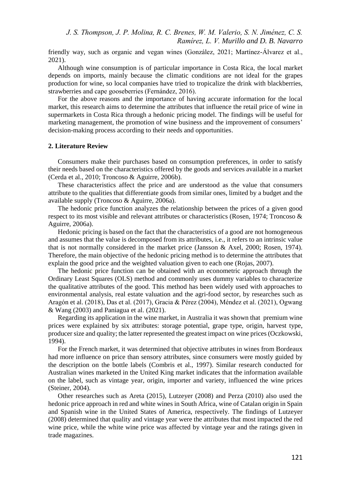friendly way, such as organic and vegan wines (González, 2021; Martínez-Álvarez et al., 2021).

Although wine consumption is of particular importance in Costa Rica, the local market depends on imports, mainly because the climatic conditions are not ideal for the grapes production for wine, so local companies have tried to tropicalize the drink with blackberries, strawberries and cape gooseberries (Fernández, 2016).

For the above reasons and the importance of having accurate information for the local market, this research aims to determine the attributes that influence the retail price of wine in supermarkets in Costa Rica through a hedonic pricing model. The findings will be useful for marketing management, the promotion of wine business and the improvement of consumers' decision-making process according to their needs and opportunities.

#### **2. Literature Review**

Consumers make their purchases based on consumption preferences, in order to satisfy their needs based on the characteristics offered by the goods and services available in a market (Cerda et al., 2010; Troncoso & Aguirre, 2006b).

These characteristics affect the price and are understood as the value that consumers attribute to the qualities that differentiate goods from similar ones, limited by a budget and the available supply (Troncoso & Aguirre, 2006a).

The hedonic price function analyzes the relationship between the prices of a given good respect to its most visible and relevant attributes or characteristics (Rosen, 1974; Troncoso & Aguirre, 2006a).

Hedonic pricing is based on the fact that the characteristics of a good are not homogeneous and assumes that the value is decomposed from its attributes, i.e., it refers to an intrinsic value that is not normally considered in the market price (Jansson & Axel, 2000; Rosen, 1974). Therefore, the main objective of the hedonic pricing method is to determine the attributes that explain the good price and the weighted valuation given to each one (Rojas, 2007).

The hedonic price function can be obtained with an econometric approach through the Ordinary Least Squares (OLS) method and commonly uses dummy variables to characterize the qualitative attributes of the good. This method has been widely used with approaches to environmental analysis, real estate valuation and the agri-food sector, by researches such as Aragón et al. (2018), Das et al. (2017), Gracia & Pérez (2004), Méndez et al. (2021), Ogwang & Wang (2003) and Paniagua et al. (2021).

Regarding its application in the wine market, in Australia it was shown that premium wine prices were explained by six attributes: storage potential, grape type, origin, harvest type, producer size and quality; the latter represented the greatest impact on wine prices(Oczkowski, 1994).

For the French market, it was determined that objective attributes in wines from Bordeaux had more influence on price than sensory attributes, since consumers were mostly guided by the description on the bottle labels (Combris et al., 1997). Similar research conducted for Australian wines marketed in the United King market indicates that the information available on the label, such as vintage year, origin, importer and variety, influenced the wine prices (Steiner, 2004).

Other researches such as Areta (2015), Lutzeyer (2008) and Perza (2010) also used the hedonic price approach in red and white wines in South Africa, wine of Catalan origin in Spain and Spanish wine in the United States of America, respectively. The findings of Lutzeyer (2008) determined that quality and vintage year were the attributes that most impacted the red wine price, while the white wine price was affected by vintage year and the ratings given in trade magazines.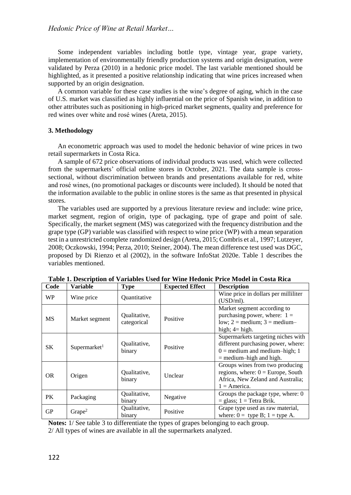Some independent variables including bottle type, vintage year, grape variety, implementation of environmentally friendly production systems and origin designation, were validated by Perza (2010) in a hedonic price model. The last variable mentioned should be highlighted, as it presented a positive relationship indicating that wine prices increased when supported by an origin designation.

A common variable for these case studies is the wine's degree of aging, which in the case of U.S. market was classified as highly influential on the price of Spanish wine, in addition to other attributes such as positioning in high-priced market segments, quality and preference for red wines over white and rosé wines (Areta, 2015).

### **3. Methodology**

An econometric approach was used to model the hedonic behavior of wine prices in two retail supermarkets in Costa Rica.

A sample of 672 price observations of individual products was used, which were collected from the supermarkets' official online stores in October, 2021. The data sample is crosssectional, without discrimination between brands and presentations available for red, white and rosé wines, (no promotional packages or discounts were included). It should be noted that the information available to the public in online stores is the same as that presented in physical stores.

The variables used are supported by a previous literature review and include: wine price, market segment, region of origin, type of packaging, type of grape and point of sale. Specifically, the market segment (MS) was categorized with the frequency distribution and the grape type (GP) variable was classified with respect to wine price (WP) with a mean separation test in a unrestricted complete randomized design (Areta, 2015; Combris et al., 1997; Lutzeyer, 2008; Oczkowski, 1994; Perza, 2010; Steiner, 2004). The mean difference test used was DGC, proposed by Di Rienzo et al (2002), in the software InfoStat 2020e. Table 1 describes the variables mentioned.

| Code      | Variable                 | <b>Type</b>                 | <b>Expected Effect</b> | <b>Description</b>                                                                                                                       |
|-----------|--------------------------|-----------------------------|------------------------|------------------------------------------------------------------------------------------------------------------------------------------|
| WP.       | Wine price               | Quantitative                |                        | Wine price in dollars per milliliter<br>$(USD/ml)$ .                                                                                     |
| MS        | Market segment           | Qualitative,<br>categorical | Positive               | Market segment according to<br>purchasing power, where: $1 =$<br>low; $2 = \text{medium}$ ; $3 = \text{medium}$<br>high; $4 =$ high.     |
| SK        | Supermarket <sup>1</sup> | Qualitative,<br>binary      | Positive               | Supermarkets targeting niches with<br>different purchasing power, where:<br>$0 =$ medium and medium-high; 1<br>$=$ medium-high and high. |
| <b>OR</b> | Origen                   | Qualitative,<br>binary      | Unclear                | Groups wines from two producing<br>regions, where: $0 = Europe$ , South<br>Africa, New Zeland and Australia;<br>$1 =$ America.           |
| PК        | Packaging                | Qualitative,<br>binary      | Negative               | Groups the package type, where: 0<br>$=$ glass; 1 = Tetra Brik.                                                                          |
| GP        | Grape <sup>2</sup>       | Qualitative,<br>binary      | Positive               | Grape type used as raw material,<br>where: $0 =$ type B; $1 =$ type A.                                                                   |

**Table 1. Description of Variables Used for Wine Hedonic Price Model in Costa Rica**

**Notes:** 1/ See table 3 to differentiate the types of grapes belonging to each group. 2/ All types of wines are available in all the supermarkets analyzed.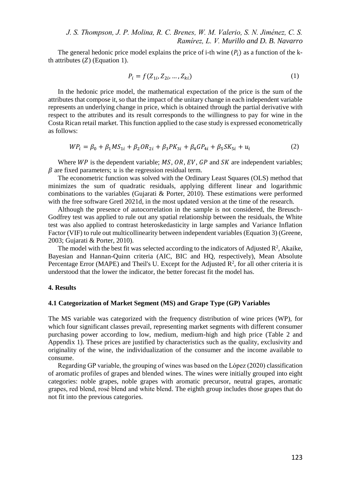*J. S. Thompson, J. P. Molina, R. C. Brenes, W. M. Valerio, S. N. Jiménez, C. S. Ramírez, L. V. Murillo and D. B. Navarro*

The general hedonic price model explains the price of i-th wine  $(P_i)$  as a function of the kth attributes  $(Z)$  (Equation 1).

$$
P_i = f(Z_{1i}, Z_{2i}, ..., Z_{ki})
$$
 (1)

In the hedonic price model, the mathematical expectation of the price is the sum of the attributes that compose it, so that the impact of the unitary change in each independent variable represents an underlying change in price, which is obtained through the partial derivative with respect to the attributes and its result corresponds to the willingness to pay for wine in the Costa Rican retail market. This function applied to the case study is expressed econometrically as follows:

$$
WP_i = \beta_0 + \beta_1 MS_{1i} + \beta_2 OR_{2i} + \beta_3 PK_{3i} + \beta_4 GP_{4i} + \beta_5 SK_{5i} + u_i
$$
 (2)

Where  $WP$  is the dependent variable; MS, OR, EV, GP and SK are independent variables;  $\beta$  are fixed parameters;  $u$  is the regression residual term.

The econometric function was solved with the Ordinary Least Squares (OLS) method that minimizes the sum of quadratic residuals, applying different linear and logarithmic combinations to the variables (Gujarati & Porter, 2010). These estimations were performed with the free software Gretl 2021d, in the most updated version at the time of the research.

Although the presence of autocorrelation in the sample is not considered, the Breusch-Godfrey test was applied to rule out any spatial relationship between the residuals, the White test was also applied to contrast heteroskedasticity in large samples and Variance Inflation Factor (VIF) to rule out multicollinearity between independent variables (Equation 3) (Greene, 2003; Gujarati & Porter, 2010).

The model with the best fit was selected according to the indicators of Adjusted  $\mathbb{R}^2$ , Akaike, Bayesian and Hannan-Quinn criteria (AIC, BIC and HQ, respectively), Mean Absolute Percentage Error (MAPE) and Theil's U. Except for the Adjusted  $\mathbb{R}^2$ , for all other criteria it is understood that the lower the indicator, the better forecast fit the model has.

### **4. Results**

#### **4.1 Categorization of Market Segment (MS) and Grape Type (GP) Variables**

The MS variable was categorized with the frequency distribution of wine prices (WP), for which four significant classes prevail, representing market segments with different consumer purchasing power according to low, medium, medium-high and high price (Table 2 and Appendix 1). These prices are justified by characteristics such as the quality, exclusivity and originality of the wine, the individualization of the consumer and the income available to consume.

Regarding GP variable, the grouping of wines was based on the López (2020) classification of aromatic profiles of grapes and blended wines. The wines were initially grouped into eight categories: noble grapes, noble grapes with aromatic precursor, neutral grapes, aromatic grapes, red blend, rosé blend and white blend. The eighth group includes those grapes that do not fit into the previous categories.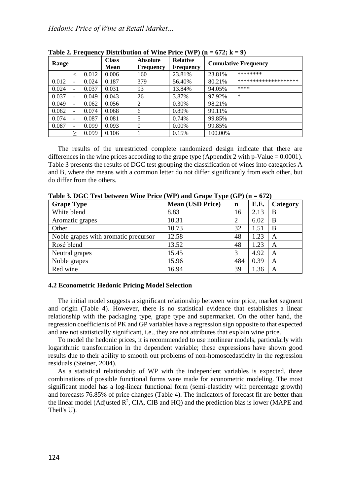| Range |   |       | $\sim$<br><b>Class</b><br>Mean | <b>Absolute</b><br><b>Frequency</b> | <b>Relative</b><br><b>Frequency</b> | <b>Cumulative Frequency</b> |                      |  |
|-------|---|-------|--------------------------------|-------------------------------------|-------------------------------------|-----------------------------|----------------------|--|
|       |   | 0.012 | 0.006                          | 160                                 | 23.81%                              | 23.81%                      | ********             |  |
| 0.012 |   | 0.024 | 0.187                          | 379                                 | 56.40%                              | 80.21%                      | ******************** |  |
| 0.024 |   | 0.037 | 0.031                          | 93                                  | 13.84%                              | 94.05%                      | ****                 |  |
| 0.037 |   | 0.049 | 0.043                          | 26                                  | 3.87%                               | 97.92%                      | *                    |  |
| 0.049 |   | 0.062 | 0.056                          | ာ                                   | 0.30%                               | 98.21%                      |                      |  |
| 0.062 |   | 0.074 | 0.068                          | 6                                   | 0.89%                               | 99.11%                      |                      |  |
| 0.074 |   | 0.087 | 0.081                          | 5                                   | 0.74%                               | 99.85%                      |                      |  |
| 0.087 |   | 0.099 | 0.093                          | $\Omega$                            | $0.00\%$                            | 99.85%                      |                      |  |
|       | > | 0.099 | 0.106                          |                                     | 0.15%                               | 100.00%                     |                      |  |

**Table 2. Frequency Distribution of Wine Price (WP)**  $(n = 672; k = 9)$ 

The results of the unrestricted complete randomized design indicate that there are differences in the wine prices according to the grape type (Appendix 2 with  $p$ -Value = 0.0001). Table 3 presents the results of DGC test grouping the classification of wines into categories A and B, where the means with a common letter do not differ significantly from each other, but do differ from the others.

| <b>Grape Type</b>                    | <b>Mean (USD Price)</b> | $\mathbf n$ | E.E. | Category |
|--------------------------------------|-------------------------|-------------|------|----------|
| White blend                          | 8.83                    | 16          | 2.13 | B        |
| Aromatic grapes                      | 10.31                   | 2           | 6.02 | B        |
| Other                                | 10.73                   | 32          | 1.51 | B        |
| Noble grapes with aromatic precursor | 12.58                   | 48          | 1.23 | A        |
| Rosé blend                           | 13.52                   | 48          | 1.23 | A        |
| Neutral grapes                       | 15.45                   |             | 4.92 | A        |
| Noble grapes                         | 15.96                   | 484         | 0.39 | A        |
| Red wine                             | 16.94                   | 39          | 1.36 | A        |

**Table 3. DGC Test between Wine Price (WP) and Grape Type (GP) (n = 672)**

#### **4.2 Econometric Hedonic Pricing Model Selection**

The initial model suggests a significant relationship between wine price, market segment and origin (Table 4). However, there is no statistical evidence that establishes a linear relationship with the packaging type, grape type and supermarket. On the other hand, the regression coefficients of PK and GP variables have a regression sign opposite to that expected and are not statistically significant, i.e., they are not attributes that explain wine price.

To model the hedonic prices, it is recommended to use nonlinear models, particularly with logarithmic transformation in the dependent variable; these expressions have shown good results due to their ability to smooth out problems of non-homoscedasticity in the regression residuals (Steiner, 2004).

As a statistical relationship of WP with the independent variables is expected, three combinations of possible functional forms were made for econometric modeling. The most significant model has a log-linear functional form (semi-elasticity with percentage growth) and forecasts 76.85% of price changes (Table 4). The indicators of forecast fit are better than the linear model (Adjusted  $\mathbb{R}^2$ , CIA, CIB and HQ) and the prediction bias is lower (MAPE and Theil's U).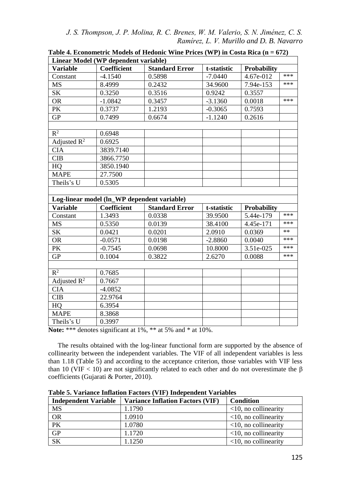*J. S. Thompson, J. P. Molina, R. C. Brenes, W. M. Valerio, S. N. Jiménez, C. S. Ramírez, L. V. Murillo and D. B. Navarro*

| Linear Model (WP dependent variable)        |             |                       |             |                    |       |  |  |  |
|---------------------------------------------|-------------|-----------------------|-------------|--------------------|-------|--|--|--|
| <b>Variable</b>                             | Coefficient | <b>Standard Error</b> | t-statistic | <b>Probability</b> |       |  |  |  |
| Constant                                    | $-4.1540$   | 0.5898                | $-7.0440$   | 4.67e-012          | ***   |  |  |  |
| <b>MS</b>                                   | 8.4999      | 0.2432                | 34.9600     | 7.94e-153          | ***   |  |  |  |
| <b>SK</b>                                   | 0.3250      | 0.3516                | 0.9242      | 0.3557             |       |  |  |  |
| <b>OR</b>                                   | $-1.0842$   | 0.3457                | $-3.1360$   | 0.0018             | ***   |  |  |  |
| PK                                          | 0.3737      | 1.2193                | $-0.3065$   | 0.7593             |       |  |  |  |
| <b>GP</b>                                   | 0.7499      | 0.6674                | $-1.1240$   | 0.2616             |       |  |  |  |
|                                             |             |                       |             |                    |       |  |  |  |
| $R^2$                                       | 0.6948      |                       |             |                    |       |  |  |  |
| Adjusted $R^2$                              | 0.6925      |                       |             |                    |       |  |  |  |
| <b>CIA</b>                                  | 3839.7140   |                       |             |                    |       |  |  |  |
| <b>CIB</b>                                  | 3866.7750   |                       |             |                    |       |  |  |  |
| HQ                                          | 3850.1940   |                       |             |                    |       |  |  |  |
| <b>MAPE</b>                                 | 27.7500     |                       |             |                    |       |  |  |  |
| Theils's U                                  | 0.5305      |                       |             |                    |       |  |  |  |
|                                             |             |                       |             |                    |       |  |  |  |
| Log-linear model (ln_WP dependent variable) |             |                       |             |                    |       |  |  |  |
|                                             |             |                       |             |                    |       |  |  |  |
| <b>Variable</b>                             | Coefficient | <b>Standard Error</b> | t-statistic | <b>Probability</b> |       |  |  |  |
| Constant                                    | 1.3493      | 0.0338                | 39.9500     | 5.44e-179          | ***   |  |  |  |
| <b>MS</b>                                   | 0.5350      | 0.0139                | 38.4100     | 4.45e-171          | ***   |  |  |  |
| <b>SK</b>                                   | 0.0421      | 0.0201                | 2.0910      | 0.0369             | $***$ |  |  |  |
| <b>OR</b>                                   | $-0.0571$   | 0.0198                | $-2.8860$   | 0.0040             | ***   |  |  |  |
| PK                                          | $-0.7545$   | 0.0698                | 10.8000     | 3.51e-025          | ***   |  |  |  |
| <b>GP</b>                                   | 0.1004      | 0.3822                | 2.6270      | 0.0088             | ***   |  |  |  |
|                                             |             |                       |             |                    |       |  |  |  |
| $R^2$                                       | 0.7685      |                       |             |                    |       |  |  |  |
| Adjusted $R^2$                              | 0.7667      |                       |             |                    |       |  |  |  |
| <b>CIA</b>                                  | $-4.0852$   |                       |             |                    |       |  |  |  |
| <b>CIB</b>                                  | 22.9764     |                       |             |                    |       |  |  |  |
| HQ                                          | 6.3954      |                       |             |                    |       |  |  |  |
| <b>MAPE</b>                                 | 8.3868      |                       |             |                    |       |  |  |  |

**Table 4. Econometric Models of Hedonic Wine Prices (WP) in Costa Rica (n = 672)**

Note: \*\*\* denotes significant at 1%, \*\* at 5% and \* at 10%.

The results obtained with the log-linear functional form are supported by the absence of collinearity between the independent variables. The VIF of all independent variables is less than 1.18 (Table 5) and according to the acceptance criterion, those variables with VIF less than 10 (VIF  $\lt$  10) are not significantly related to each other and do not overestimate the β coefficients (Gujarati & Porter, 2010).

| <b>Independent Variable</b> | <b>Variance Inflation Factors (VIF)</b> | <b>Condition</b>           |
|-----------------------------|-----------------------------------------|----------------------------|
| <b>MS</b>                   | 1.1790                                  | $\leq$ 10, no collinearity |
| <b>OR</b>                   | 1.0910                                  | $\leq$ 10, no collinearity |
| PK                          | 1.0780                                  | $\leq$ 10, no collinearity |
| GP                          | 1.1720                                  | $\leq$ 10, no collinearity |
| <b>SK</b>                   | 1.1250                                  | $\leq$ 10, no collinearity |

**Table 5. Variance Inflation Factors (VIF) Independent Variables**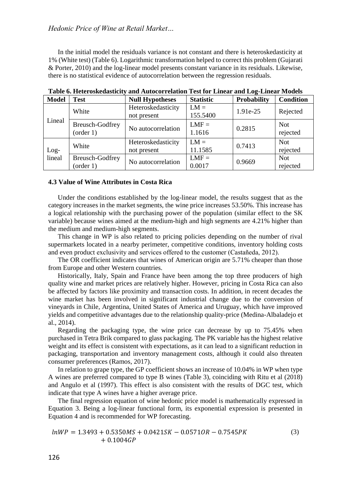*Hedonic Price of Wine at Retail Market…*

In the initial model the residuals variance is not constant and there is heteroskedasticity at 1% (White test) (Table 6). Logarithmic transformation helped to correct this problem (Gujarati & Porter, 2010) and the log-linear model presents constant variance in its residuals. Likewise, there is no statistical evidence of autocorrelation between the regression residuals.

| <b>Model</b>     | <b>Test</b>                  | <b>Null Hypotheses</b> | <b>Statistic</b>  | Probability | <b>Condition</b>       |
|------------------|------------------------------|------------------------|-------------------|-------------|------------------------|
|                  | White                        | Heteroskedasticity     | $LM =$            | 1.91e-25    | Rejected               |
|                  |                              | not present            | 155.5400          |             |                        |
| Lineal           | Breusch-Godfrey<br>(order 1) | No autocorrelation     | $LMF =$<br>1.1616 | 0.2815      | <b>Not</b><br>rejected |
| $Log-$<br>lineal | White                        | Heteroskedasticity     | $LM =$            | 0.7413      | <b>Not</b>             |
|                  |                              | not present            | 11.1585           |             | rejected               |
|                  | <b>Breusch-Godfrey</b>       |                        | $LMF =$           | 0.9669      | <b>Not</b>             |
|                  | (order 1)                    | No autocorrelation     | 0.0017            |             | rejected               |

**Table 6. Heteroskedasticity and Autocorrelation Test for Linear and Log-Linear Models**

#### **4.3 Value of Wine Attributes in Costa Rica**

Under the conditions established by the log-linear model, the results suggest that as the category increases in the market segments, the wine price increases 53.50%. This increase has a logical relationship with the purchasing power of the population (similar effect to the SK variable) because wines aimed at the medium-high and high segments are 4.21% higher than the medium and medium-high segments.

This change in WP is also related to pricing policies depending on the number of rival supermarkets located in a nearby perimeter, competitive conditions, inventory holding costs and even product exclusivity and services offered to the customer (Castañeda, 2012).

The OR coefficient indicates that wines of American origin are 5.71% cheaper than those from Europe and other Western countries.

Historically, Italy, Spain and France have been among the top three producers of high quality wine and market prices are relatively higher. However, pricing in Costa Rica can also be affected by factors like proximity and transaction costs. In addition, in recent decades the wine market has been involved in significant industrial change due to the conversion of vineyards in Chile, Argentina, United States of America and Uruguay, which have improved yields and competitive advantages due to the relationship quality-price (Medina-Albaladejo et al., 2014).

Regarding the packaging type, the wine price can decrease by up to 75.45% when purchased in Tetra Brik compared to glass packaging. The PK variable has the highest relative weight and its effect is consistent with expectations, as it can lead to a significant reduction in packaging, transportation and inventory management costs, although it could also threaten consumer preferences (Ramos, 2017).

In relation to grape type, the GP coefficient shows an increase of 10.04% in WP when type A wines are preferred compared to type B wines (Table 3), coinciding with Ritu et al (2018) and Angulo et al (1997). This effect is also consistent with the results of DGC test, which indicate that type A wines have a higher average price.

The final regression equation of wine hedonic price model is mathematically expressed in Equation 3. Being a log-linear functional form, its exponential expression is presented in Equation 4 and is recommended for WP forecasting.

$$
lnWP = 1.3493 + 0.5350MS + 0.0421SK - 0.0571OR - 0.7545PK
$$
  
+ 0.1004GP (3)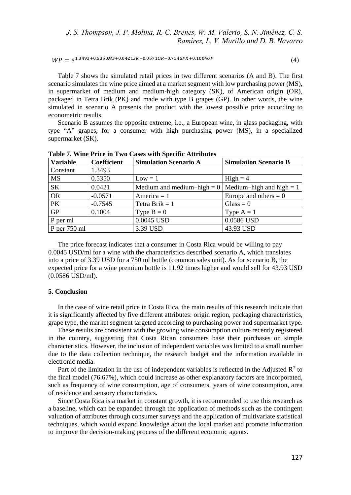$WP = e^{1.3493+0.5350MS+0.0421SK-0.0571OR-0.7545PK+0.1004GP}$  (4)

Table 7 shows the simulated retail prices in two different scenarios (A and B). The first scenario simulates the wine price aimed at a market segment with low purchasing power (MS), in supermarket of medium and medium-high category (SK), of American origin (OR), packaged in Tetra Brik (PK) and made with type B grapes (GP). In other words, the wine simulated in scenario A presents the product with the lowest possible price according to econometric results.

Scenario B assumes the opposite extreme, i.e., a European wine, in glass packaging, with type "A" grapes, for a consumer with high purchasing power (MS), in a specialized supermarket (SK).

| <b>Variable</b> | Coefficient | <b>Simulation Scenario A</b>                            | <b>Simulation Scenario B</b> |
|-----------------|-------------|---------------------------------------------------------|------------------------------|
| Constant        | 1.3493      |                                                         |                              |
| <b>MS</b>       | 0.5350      | $Low = 1$                                               | $High = 4$                   |
| <b>SK</b>       | 0.0421      | Medium and medium-high = $0$   Medium-high and high = 1 |                              |
| OR              | $-0.0571$   | America = $1$                                           | Europe and others $= 0$      |
| PK              | $-0.7545$   | Tetra Brik $= 1$                                        | $\text{Glass} = 0$           |
| <b>GP</b>       | 0.1004      | Type $B = 0$                                            | Type $A = 1$                 |
| P per ml        |             | 0.0045 USD                                              | 0.0586 USD                   |
| $P$ per 750 ml  |             | 3.39 USD                                                | 43.93 USD                    |

**Table 7. Wine Price in Two Cases with Specific Attributes**

The price forecast indicates that a consumer in Costa Rica would be willing to pay 0.0045 USD/ml for a wine with the characteristics described scenario A, which translates into a price of 3.39 USD for a 750 ml bottle (common sales unit). As for scenario B, the expected price for a wine premium bottle is 11.92 times higher and would sell for 43.93 USD (0.0586 USD/ml).

### **5. Conclusion**

In the case of wine retail price in Costa Rica, the main results of this research indicate that it is significantly affected by five different attributes: origin region, packaging characteristics, grape type, the market segment targeted according to purchasing power and supermarket type.

These results are consistent with the growing wine consumption culture recently registered in the country, suggesting that Costa Rican consumers base their purchases on simple characteristics. However, the inclusion of independent variables was limited to a small number due to the data collection technique, the research budget and the information available in electronic media.

Part of the limitation in the use of independent variables is reflected in the Adjusted  $\mathbb{R}^2$  to the final model (76.67%), which could increase as other explanatory factors are incorporated, such as frequency of wine consumption, age of consumers, years of wine consumption, area of residence and sensory characteristics.

Since Costa Rica is a market in constant growth, it is recommended to use this research as a baseline, which can be expanded through the application of methods such as the contingent valuation of attributes through consumer surveys and the application of multivariate statistical techniques, which would expand knowledge about the local market and promote information to improve the decision-making process of the different economic agents.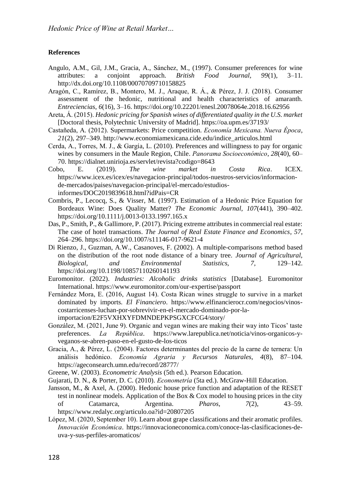### **References**

- Angulo, A.M., Gil, J.M., Gracia, A., Sánchez, M., (1997). Consumer preferences for wine attributes: a conjoint approach. *British Food Journal, 99*(1), 3–11. http://dx.doi.org/10.1108/00070709710158825
- Aragón, C., Ramírez, B., Montero, M. J., Araque, R. Á., & Pérez, J. J. (2018). Consumer assessment of the hedonic, nutritional and health characteristics of amaranth. *Entreciencias*, *6*(16), 3–16. https://doi.org/10.22201/enesl.20078064e.2018.16.62956
- Areta, Á. (2015). *Hedonic pricing for Spanish wines of differentiated quality in the U.S. market* [Doctoral thesis, Polytechnic University of Madrid]. https://oa.upm.es/37193/
- Castañeda, A. (2012). Supermarkets: Price competition. *Economía Mexicana. Nueva Época*, *21*(2), 297–349. http://www.economiamexicana.cide.edu/indice\_articulos.html
- Cerda, A., Torres, M. J., & Gargía, L. (2010). Preferences and willingness to pay for organic wines by consumers in the Maule Region, Chile. *Panorama Socioeconómico*, *28*(40), 60– 70. https://dialnet.unirioja.es/servlet/revista?codigo=8643
- Cobo, E. (2019). *The wine market in Costa Rica*. ICEX. https://www.icex.es/icex/es/navegacion-principal/todos-nuestros-servicios/informacionde-mercados/paises/navegacion-principal/el-mercado/estudiosinformes/DOC2019839618.html?idPais=CR
- Combris, P., Lecocq, S., & Visser, M. (1997). Estimation of a Hedonic Price Equation for Bordeaux Wine: Does Quality Matter? *The Economic Journal*, *107*(441), 390–402. https://doi.org/10.1111/j.0013-0133.1997.165.x
- Das, P., Smith, P., & Gallimore, P. (2017). Pricing extreme attributes in commercial real estate: The case of hotel transactions. *The Journal of Real Estate Finance and Economics*, *57*, 264–296. https://doi.org/10.1007/s11146-017-9621-4
- Di Rienzo, J., Guzman, A.W., Casanoves, F. (2002). A multiple-comparisons method based on the distribution of the root node distance of a binary tree. *Journal of Agricultural, Biological, and Environmental Statistics, 7,* 129–142. https://doi.org/10.1198/10857110260141193
- Euromonitor. (2022). *Industries: Alcoholic drinks statistics* [Database]. Euromonitor International. https://www.euromonitor.com/our-expertise/passport
- Fernández Mora, E. (2016, August 14). Costa Rican wines struggle to survive in a market dominated by imports. *El Financiero*. https://www.elfinancierocr.com/negocios/vinoscostarricenses-luchan-por-sobrevivir-en-el-mercado-dominado-por-laimportacion/E2F5VXHXYFDMNDEPKPSGXCFCG4/story/
- González, M. (2021, June 9). Organic and vegan wines are making their way into Ticos' taste preferences. *La República*. https://www.larepublica.net/noticia/vinos-organicos-yveganos-se-abren-paso-en-el-gusto-de-los-ticos
- Gracia, A., & Pérez, L. (2004). Factores determinantes del precio de la carne de ternera: Un análisis hedónico. *Economía Agraria y Recursos Naturales*, *4*(8), 87–104. https://ageconsearch.umn.edu/record/28777/
- Greene, W. (2003). *Econometric Analysis* (5th ed.). Pearson Education.
- Gujarati, D. N., & Porter, D. C. (2010). *Econometría* (5ta ed.). McGraw-Hill Education.
- Jansson, M., & Axel, A. (2000). Hedonic house price function and adaptation of the RESET test in nonlinear models. Application of the Box & Cox model to housing prices in the city of Catamarca, Argentina. *Pharos*, *7*(2), 43–59. https://www.redalyc.org/articulo.oa?id=20807205
- López, M. (2020, September 10). Learn about grape classifications and their aromatic profiles. *Innovación Económica*. https://innovacioneconomica.com/conoce-las-clasificaciones-deuva-y-sus-perfiles-aromaticos/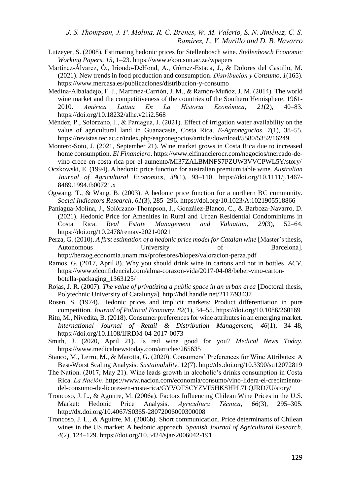- Lutzeyer, S. (2008). Estimating hedonic prices for Stellenbosch wine. *Stellenbosch Economic Working Papers*, *15*, 1–23. https://www.ekon.sun.ac.za/wpapers
- Martínez-Álvarez, Ó., Iriondo-DeHond, A., Gómez-Estaca, J., & Dolores del Castillo, M. (2021). New trends in food production and consumption. *Distribución y Consumo*, *1*(165). https://www.mercasa.es/publicaciones/distribucion-y-consumo
- Medina-Albaladejo, F. J., Martínez-Carrión, J. M., & Ramón-Muñoz, J. M. (2014). The world wine market and the competitiveness of the countries of the Southern Hemisphere, 1961- 2010. *América Latina En La Historia Económica*, *21*(2), 40–83. https://doi.org/10.18232/alhe.v21i2.568
- Méndez, P., Solórzano, J., & Paniagua, J. (2021). Effect of irrigation water availability on the value of agricultural land in Guanacaste, Costa Rica. *E-Agronegocios*, *7*(1), 38–55. https://revistas.tec.ac.cr/index.php/eagronegocios/article/download/5580/5352/16249
- Montero-Soto, J. (2021, September 21). Wine market grows in Costa Rica due to increased home consumption. *El Financiero*. https://www.elfinancierocr.com/negocios/mercado-devino-crece-en-costa-rica-por-el-aumento/MI37ZALBMNFS7PZUW3VVCPWL5Y/story/
- Oczkowski, E. (1994). A hedonic price function for australian premium table wine. *Australian Journal of Agricultural Economics*, *38*(1), 93–110. https://doi.org/10.1111/j.1467- 8489.1994.tb00721.x
- Ogwang, T., & Wang, B. (2003). A hedonic price function for a northern BC community. *Social Indicators Research*, *61*(3), 285–296. https://doi.org/10.1023/A:1021905518866
- Paniagua-Molina, J., Solórzano-Thompson, J., González-Blanco, C., & Barboza-Navarro, D. (2021). Hedonic Price for Amenities in Rural and Urban Residential Condominiums in Costa Rica. *Real Estate Management and Valuation*, *29*(3), 52–64. https://doi.org/10.2478/remav-2021-0021
- Perza, G. (2010). *A first estimation of a hedonic price model for Catalan wine* [Master's thesis, Autonomous University of Barcelonal. http://herzog.economia.unam.mx/profesores/blopez/valoracion-perza.pdf
- Ramos, G. (2017, April 8). Why you should drink wine in cartons and not in bottles. *ACV*. https://www.elconfidencial.com/alma-corazon-vida/2017-04-08/beber-vino-cartonbotella-packaging\_1363125/
- Rojas, J. R. (2007). *The value of privatizing a public space in an urban area* [Doctoral thesis, Polytechnic University of Catalunya]. http://hdl.handle.net/2117/93437
- Rosen, S. (1974). Hedonic prices and implicit markets: Product differentiation in pure competition. *Journal of Political Economy*, *82*(1), 34–55. https://doi.org/10.1086/260169
- Ritu, M., Nivedita, B. (2018). Consumer preferences for wine attributes in an emerging market. *International Journal of Retail & Distribution Management, 46*(1), 34–48, https://doi.org/10.1108/IJRDM-04-2017-0073
- Smith, J. (2020, April 21). Is red wine good for you? *Medical News Today*. https://www.medicalnewstoday.com/articles/265635
- Stanco, M., Lerro, M., & Marotta, G. (2020). Consumers' Preferences for Wine Attributes: A Best-Worst Scaling Analysis. *Sustainability,* 12(7). http://dx.doi.org/10.3390/su12072819
- The Nation. (2017, May 21). Wine leads growth in alcoholic's drinks consumption in Costa Rica. *La Nación*. https://www.nacion.com/economia/consumo/vino-lidera-el-crecimientodel-consumo-de-licores-en-costa-rica/GYVOTSCYZVF5HKSHPL7LQJRD7U/story/
- Troncoso, J. L., & Aguirre, M. (2006a). Factors Influencing Chilean Wine Prices in the U.S. Market: Hedonic Price Analysis. *Agricultura Técnica*, *66*(3), 295–305. http://dx.doi.org/10.4067/S0365-28072006000300008
- Troncoso, J. L., & Aguirre, M. (2006b). Short communication. Price determinants of Chilean wines in the US market: A hedonic approach. *Spanish Journal of Agricultural Research*, *4*(2), 124–129. https://doi.org/10.5424/sjar/2006042-191